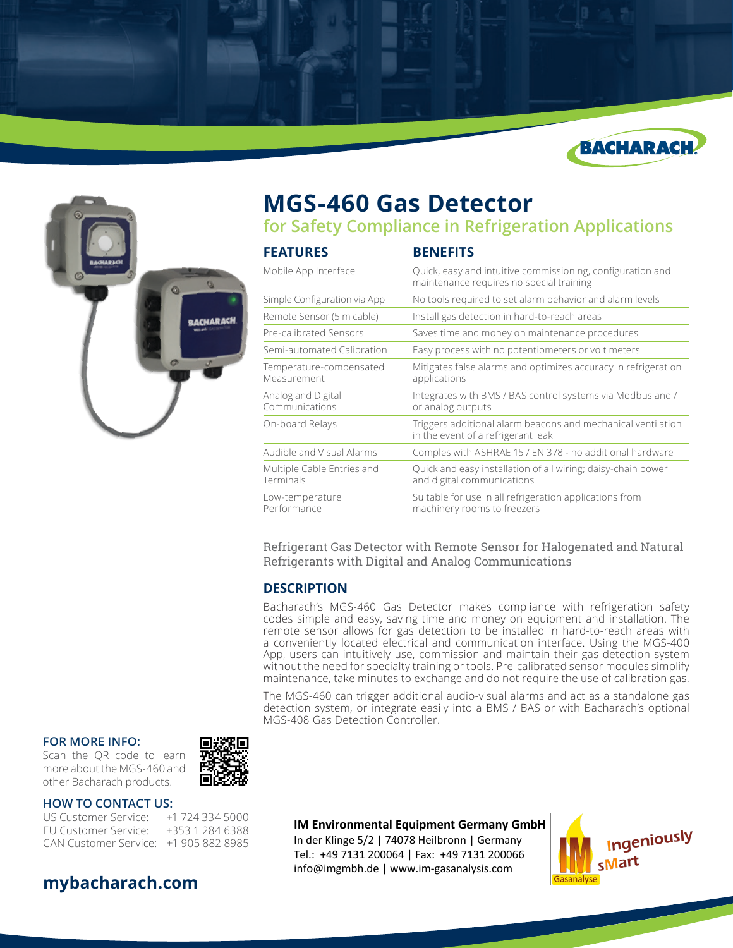



# **MGS-460 Gas Detector**

**for Safety Compliance in Refrigeration Applications**

| <b>FEATURES</b>                         | <b>BENEFITS</b>                                                                                        |  |
|-----------------------------------------|--------------------------------------------------------------------------------------------------------|--|
| Mobile App Interface                    | Quick, easy and intuitive commissioning, configuration and<br>maintenance requires no special training |  |
| Simple Configuration via App            | No tools required to set alarm behavior and alarm levels                                               |  |
| Remote Sensor (5 m cable)               | Install gas detection in hard-to-reach areas                                                           |  |
| Pre-calibrated Sensors                  | Saves time and money on maintenance procedures                                                         |  |
| Semi-automated Calibration              | Easy process with no potentiometers or volt meters                                                     |  |
| Temperature-compensated<br>Measurement  | Mitigates false alarms and optimizes accuracy in refrigeration<br>applications                         |  |
| Analog and Digital<br>Communications    | Integrates with BMS / BAS control systems via Modbus and /<br>or analog outputs                        |  |
| On-board Relays                         | Triggers additional alarm beacons and mechanical ventilation<br>in the event of a refrigerant leak     |  |
| Audible and Visual Alarms               | Comples with ASHRAE 15 / EN 378 - no additional hardware                                               |  |
| Multiple Cable Entries and<br>Terminals | Quick and easy installation of all wiring; daisy-chain power<br>and digital communications             |  |
| Low-temperature<br>Performance          | Suitable for use in all refrigeration applications from<br>machinery rooms to freezers                 |  |

Refrigerant Gas Detector with Remote Sensor for Halogenated and Natural Refrigerants with Digital and Analog Communications

## **DESCRIPTION**

Bacharach's MGS-460 Gas Detector makes compliance with refrigeration safety codes simple and easy, saving time and money on equipment and installation. The remote sensor allows for gas detection to be installed in hard-to-reach areas with a conveniently located electrical and communication interface. Using the MGS-400 App, users can intuitively use, commission and maintain their gas detection system without the need for specialty training or tools. Pre-calibrated sensor modules simplify maintenance, take minutes to exchange and do not require the use of calibration gas.

The MGS-460 can trigger additional audio-visual alarms and act as a standalone gas detection system, or integrate easily into a BMS / BAS or with Bacharach's optional MGS-408 Gas Detection Controller.

#### **FOR MORE INFO:**

Scan the QR code to learn more about the MGS-460 and other Bacharach products.



#### **HOW TO CONTACT US:**

US Customer Service: +1 724 334 5000 EU Customer Service: +353 1 284 6388 CAN Customer Service: +1 905 882 8985



### **IM Environmental Equipment Germany GmbH**

In der Klinge 5/2 | 74078 Heilbronn | Germany Tel.: +49 7131 200064 | Fax: +49 7131 200066 info@imgmbh.de | www.im-gasanalysis.com